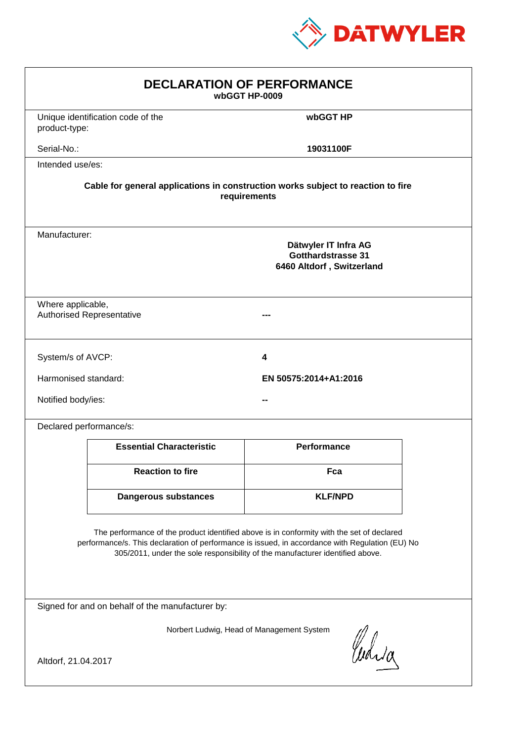

| <b>DECLARATION OF PERFORMANCE</b><br>wbGGT HP-0009                                                                                                                                                                                                                            |                                               |                    |  |
|-------------------------------------------------------------------------------------------------------------------------------------------------------------------------------------------------------------------------------------------------------------------------------|-----------------------------------------------|--------------------|--|
| product-type:                                                                                                                                                                                                                                                                 | Unique identification code of the             | wbGGT HP           |  |
| Serial-No.:                                                                                                                                                                                                                                                                   |                                               | 19031100F          |  |
| Intended use/es:                                                                                                                                                                                                                                                              |                                               |                    |  |
| Cable for general applications in construction works subject to reaction to fire<br>requirements                                                                                                                                                                              |                                               |                    |  |
| Manufacturer:<br>Dätwyler IT Infra AG<br>Gotthardstrasse 31<br>6460 Altdorf, Switzerland                                                                                                                                                                                      |                                               |                    |  |
| Where applicable,<br><b>Authorised Representative</b>                                                                                                                                                                                                                         |                                               |                    |  |
| System/s of AVCP:                                                                                                                                                                                                                                                             |                                               | 4                  |  |
|                                                                                                                                                                                                                                                                               | Harmonised standard:<br>EN 50575:2014+A1:2016 |                    |  |
| Notified body/ies:                                                                                                                                                                                                                                                            |                                               |                    |  |
| Declared performance/s:                                                                                                                                                                                                                                                       |                                               |                    |  |
|                                                                                                                                                                                                                                                                               | <b>Essential Characteristic</b>               | <b>Performance</b> |  |
|                                                                                                                                                                                                                                                                               | <b>Reaction to fire</b>                       | Fca                |  |
|                                                                                                                                                                                                                                                                               | <b>Dangerous substances</b>                   | <b>KLF/NPD</b>     |  |
| The performance of the product identified above is in conformity with the set of declared<br>performance/s. This declaration of performance is issued, in accordance with Regulation (EU) No<br>305/2011, under the sole responsibility of the manufacturer identified above. |                                               |                    |  |
| Signed for and on behalf of the manufacturer by:                                                                                                                                                                                                                              |                                               |                    |  |
| Norbert Ludwig, Head of Management System<br>Curia<br>Altdorf, 21.04.2017                                                                                                                                                                                                     |                                               |                    |  |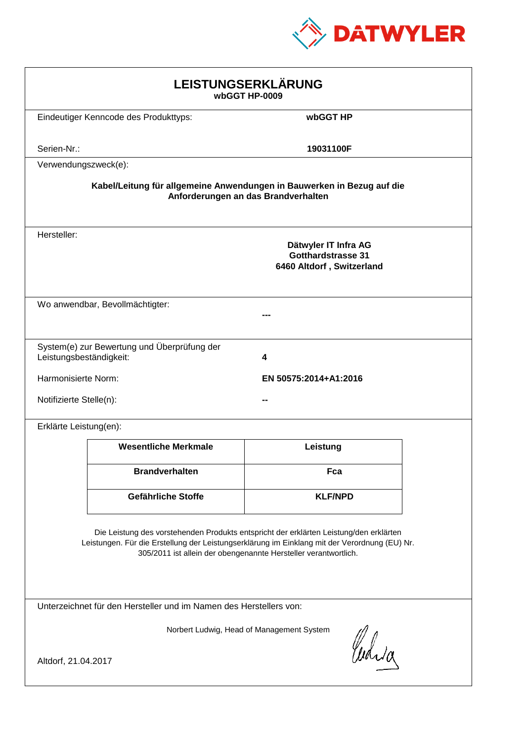

| LEISTUNGSERKLÄRUNG<br>wbGGT HP-0009                                                                                                                                                                                                                        |                                             |                                                                                |  |
|------------------------------------------------------------------------------------------------------------------------------------------------------------------------------------------------------------------------------------------------------------|---------------------------------------------|--------------------------------------------------------------------------------|--|
|                                                                                                                                                                                                                                                            | Eindeutiger Kenncode des Produkttyps:       | wbGGT HP                                                                       |  |
| Serien-Nr.:                                                                                                                                                                                                                                                |                                             | 19031100F                                                                      |  |
| Verwendungszweck(e):                                                                                                                                                                                                                                       |                                             |                                                                                |  |
| Kabel/Leitung für allgemeine Anwendungen in Bauwerken in Bezug auf die<br>Anforderungen an das Brandverhalten                                                                                                                                              |                                             |                                                                                |  |
| Hersteller:                                                                                                                                                                                                                                                |                                             | Dätwyler IT Infra AG<br><b>Gotthardstrasse 31</b><br>6460 Altdorf, Switzerland |  |
|                                                                                                                                                                                                                                                            | Wo anwendbar, Bevollmächtigter:             |                                                                                |  |
| Leistungsbeständigkeit:                                                                                                                                                                                                                                    | System(e) zur Bewertung und Überprüfung der | 4                                                                              |  |
| Harmonisierte Norm:                                                                                                                                                                                                                                        |                                             | EN 50575:2014+A1:2016                                                          |  |
|                                                                                                                                                                                                                                                            | Notifizierte Stelle(n):                     |                                                                                |  |
| Erklärte Leistung(en):                                                                                                                                                                                                                                     |                                             |                                                                                |  |
|                                                                                                                                                                                                                                                            | <b>Wesentliche Merkmale</b>                 | Leistung                                                                       |  |
|                                                                                                                                                                                                                                                            | <b>Brandverhalten</b>                       | Fca                                                                            |  |
|                                                                                                                                                                                                                                                            | Gefährliche Stoffe                          | <b>KLF/NPD</b>                                                                 |  |
| Die Leistung des vorstehenden Produkts entspricht der erklärten Leistung/den erklärten<br>Leistungen. Für die Erstellung der Leistungserklärung im Einklang mit der Verordnung (EU) Nr.<br>305/2011 ist allein der obengenannte Hersteller verantwortlich. |                                             |                                                                                |  |
| Unterzeichnet für den Hersteller und im Namen des Herstellers von:                                                                                                                                                                                         |                                             |                                                                                |  |
| Norbert Ludwig, Head of Management System<br>Curia                                                                                                                                                                                                         |                                             |                                                                                |  |
| Altdorf, 21.04.2017                                                                                                                                                                                                                                        |                                             |                                                                                |  |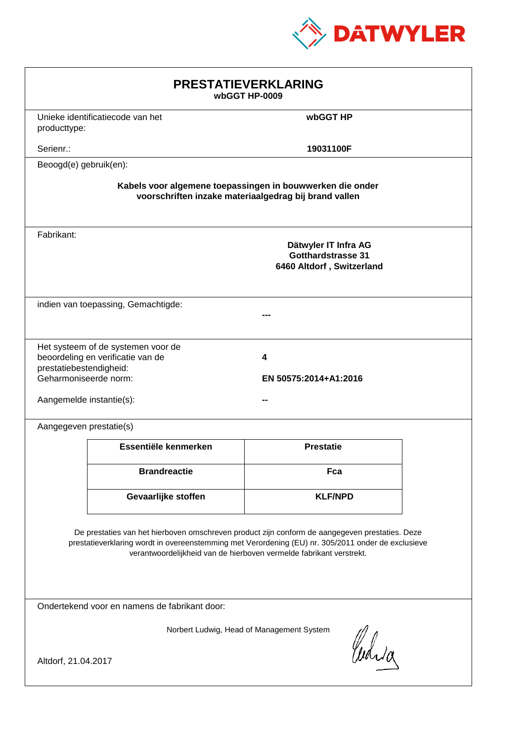

| <b>PRESTATIEVERKLARING</b><br>wbGGT HP-0009                                                                                                                                                                                                                                 |                                                                         |                                                                                |  |
|-----------------------------------------------------------------------------------------------------------------------------------------------------------------------------------------------------------------------------------------------------------------------------|-------------------------------------------------------------------------|--------------------------------------------------------------------------------|--|
| producttype:                                                                                                                                                                                                                                                                | Unieke identificatiecode van het                                        | wbGGT HP                                                                       |  |
| Serienr.:                                                                                                                                                                                                                                                                   |                                                                         | 19031100F                                                                      |  |
| Beoogd(e) gebruik(en):                                                                                                                                                                                                                                                      |                                                                         |                                                                                |  |
| Kabels voor algemene toepassingen in bouwwerken die onder<br>voorschriften inzake materiaalgedrag bij brand vallen                                                                                                                                                          |                                                                         |                                                                                |  |
| Fabrikant:                                                                                                                                                                                                                                                                  |                                                                         | Dätwyler IT Infra AG<br><b>Gotthardstrasse 31</b><br>6460 Altdorf, Switzerland |  |
| indien van toepassing, Gemachtigde:                                                                                                                                                                                                                                         |                                                                         |                                                                                |  |
| prestatiebestendigheid:<br>Geharmoniseerde norm:<br>Aangemelde instantie(s):                                                                                                                                                                                                | Het systeem of de systemen voor de<br>beoordeling en verificatie van de | 4<br>EN 50575:2014+A1:2016                                                     |  |
| Aangegeven prestatie(s)                                                                                                                                                                                                                                                     |                                                                         |                                                                                |  |
|                                                                                                                                                                                                                                                                             | Essentiële kenmerken                                                    | <b>Prestatie</b>                                                               |  |
|                                                                                                                                                                                                                                                                             | <b>Brandreactie</b>                                                     | Fca                                                                            |  |
|                                                                                                                                                                                                                                                                             | Gevaarlijke stoffen                                                     | <b>KLF/NPD</b>                                                                 |  |
| De prestaties van het hierboven omschreven product zijn conform de aangegeven prestaties. Deze<br>prestatieverklaring wordt in overeenstemming met Verordening (EU) nr. 305/2011 onder de exclusieve<br>verantwoordelijkheid van de hierboven vermelde fabrikant verstrekt. |                                                                         |                                                                                |  |
| Ondertekend voor en namens de fabrikant door:                                                                                                                                                                                                                               |                                                                         |                                                                                |  |
| Norbert Ludwig, Head of Management System<br>Curia<br>Altdorf, 21.04.2017                                                                                                                                                                                                   |                                                                         |                                                                                |  |
|                                                                                                                                                                                                                                                                             |                                                                         |                                                                                |  |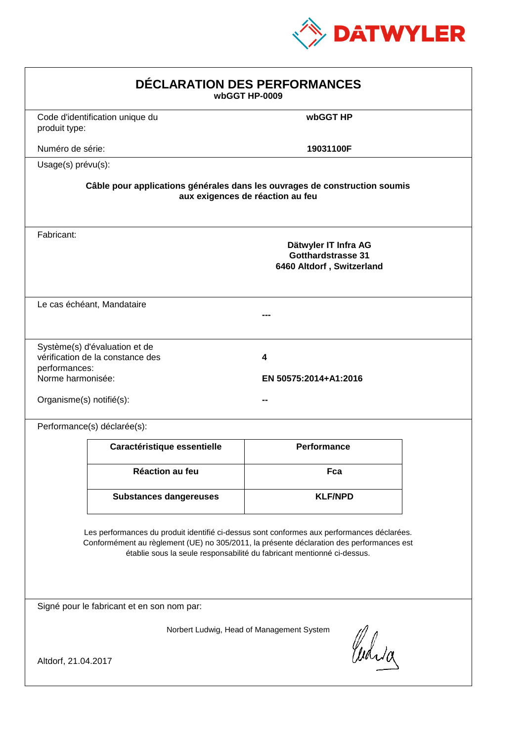

| DÉCLARATION DES PERFORMANCES<br>wbGGT HP-0009                                                                                                                                                                                                                    |                                                                                                                |                                                                                |  |  |
|------------------------------------------------------------------------------------------------------------------------------------------------------------------------------------------------------------------------------------------------------------------|----------------------------------------------------------------------------------------------------------------|--------------------------------------------------------------------------------|--|--|
| produit type:                                                                                                                                                                                                                                                    | Code d'identification unique du                                                                                | wbGGT HP                                                                       |  |  |
| Numéro de série:                                                                                                                                                                                                                                                 |                                                                                                                | 19031100F                                                                      |  |  |
| Usage(s) prévu(s):                                                                                                                                                                                                                                               |                                                                                                                |                                                                                |  |  |
|                                                                                                                                                                                                                                                                  | Câble pour applications générales dans les ouvrages de construction soumis<br>aux exigences de réaction au feu |                                                                                |  |  |
| Fabricant:                                                                                                                                                                                                                                                       |                                                                                                                | Dätwyler IT Infra AG<br><b>Gotthardstrasse 31</b><br>6460 Altdorf, Switzerland |  |  |
|                                                                                                                                                                                                                                                                  | Le cas échéant, Mandataire                                                                                     |                                                                                |  |  |
| performances:<br>Norme harmonisée:<br>Organisme(s) notifié(s):                                                                                                                                                                                                   | Système(s) d'évaluation et de<br>vérification de la constance des                                              | 4<br>EN 50575:2014+A1:2016                                                     |  |  |
|                                                                                                                                                                                                                                                                  | Performance(s) déclarée(s):                                                                                    |                                                                                |  |  |
|                                                                                                                                                                                                                                                                  | Caractéristique essentielle                                                                                    | <b>Performance</b>                                                             |  |  |
|                                                                                                                                                                                                                                                                  | Réaction au feu                                                                                                | Fca                                                                            |  |  |
|                                                                                                                                                                                                                                                                  | <b>Substances dangereuses</b>                                                                                  | <b>KLF/NPD</b>                                                                 |  |  |
| Les performances du produit identifié ci-dessus sont conformes aux performances déclarées.<br>Conformément au règlement (UE) no 305/2011, la présente déclaration des performances est<br>établie sous la seule responsabilité du fabricant mentionné ci-dessus. |                                                                                                                |                                                                                |  |  |
| Signé pour le fabricant et en son nom par:                                                                                                                                                                                                                       |                                                                                                                |                                                                                |  |  |
| Norbert Ludwig, Head of Management System<br>Curia<br>Altdorf, 21.04.2017                                                                                                                                                                                        |                                                                                                                |                                                                                |  |  |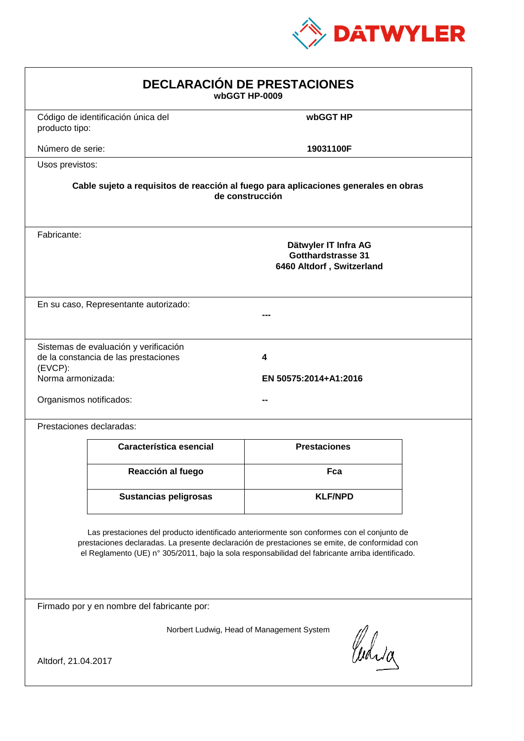

| <b>DECLARACIÓN DE PRESTACIONES</b><br>wbGGT HP-0009                                                                                                                                                                                                                                            |                     |  |  |
|------------------------------------------------------------------------------------------------------------------------------------------------------------------------------------------------------------------------------------------------------------------------------------------------|---------------------|--|--|
| Código de identificación única del<br>producto tipo:                                                                                                                                                                                                                                           | wbGGT HP            |  |  |
| Número de serie:                                                                                                                                                                                                                                                                               | 19031100F           |  |  |
| Usos previstos:                                                                                                                                                                                                                                                                                |                     |  |  |
| Cable sujeto a requisitos de reacción al fuego para aplicaciones generales en obras<br>de construcción                                                                                                                                                                                         |                     |  |  |
| Fabricante:<br>Dätwyler IT Infra AG<br>Gotthardstrasse 31<br>6460 Altdorf, Switzerland                                                                                                                                                                                                         |                     |  |  |
| En su caso, Representante autorizado:                                                                                                                                                                                                                                                          |                     |  |  |
| Sistemas de evaluación y verificación<br>de la constancia de las prestaciones<br>4<br>$(EVCP)$ :<br>Norma armonizada:<br>EN 50575:2014+A1:2016<br>Organismos notificados:                                                                                                                      |                     |  |  |
| Prestaciones declaradas:                                                                                                                                                                                                                                                                       |                     |  |  |
| Característica esencial                                                                                                                                                                                                                                                                        | <b>Prestaciones</b> |  |  |
| Reacción al fuego                                                                                                                                                                                                                                                                              | Fca                 |  |  |
| <b>Sustancias peligrosas</b>                                                                                                                                                                                                                                                                   | <b>KLF/NPD</b>      |  |  |
| Las prestaciones del producto identificado anteriormente son conformes con el conjunto de<br>prestaciones declaradas. La presente declaración de prestaciones se emite, de conformidad con<br>el Reglamento (UE) nº 305/2011, bajo la sola responsabilidad del fabricante arriba identificado. |                     |  |  |
| Firmado por y en nombre del fabricante por:                                                                                                                                                                                                                                                    |                     |  |  |
| Norbert Ludwig, Head of Management System<br>anda<br>Altdorf, 21.04.2017                                                                                                                                                                                                                       |                     |  |  |